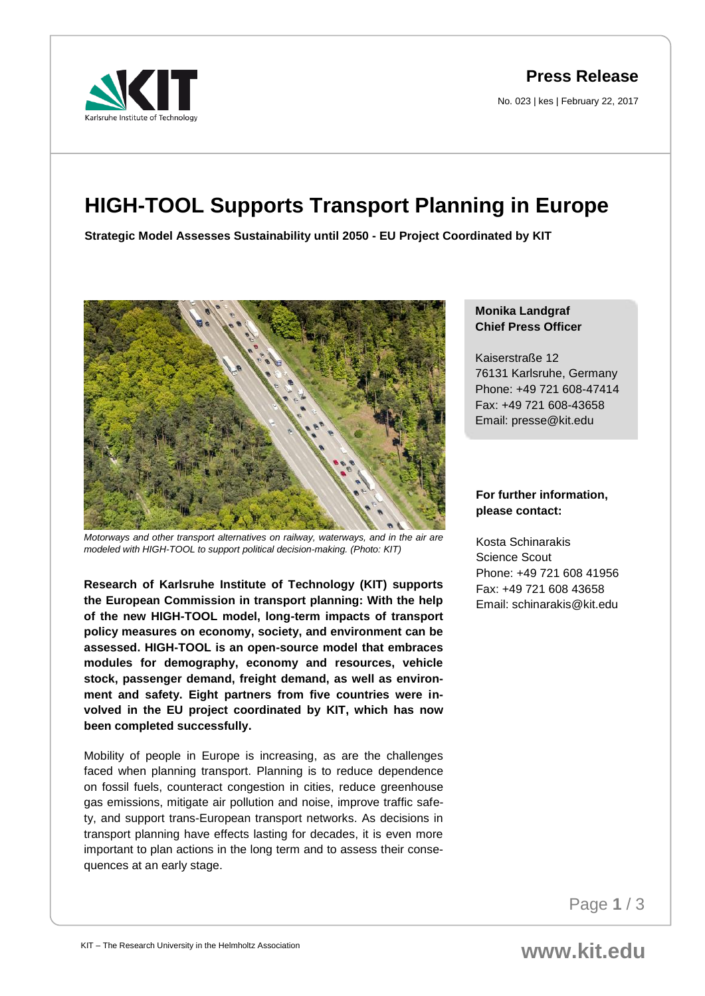**Press Release**

No. 023 | kes | February 22, 2017

# **HIGH-TOOL Supports Transport Planning in Europe**

**Strategic Model Assesses Sustainability until 2050 - EU Project Coordinated by KIT**



*Motorways and other transport alternatives on railway, waterways, and in the air are modeled with HIGH-TOOL to support political decision-making. (Photo: KIT)*

**Research of Karlsruhe Institute of Technology (KIT) supports the European Commission in transport planning: With the help of the new HIGH-TOOL model, long-term impacts of transport policy measures on economy, society, and environment can be assessed. HIGH-TOOL is an open-source model that embraces modules for demography, economy and resources, vehicle stock, passenger demand, freight demand, as well as environment and safety. Eight partners from five countries were involved in the EU project coordinated by KIT, which has now been completed successfully.** 

Mobility of people in Europe is increasing, as are the challenges faced when planning transport. Planning is to reduce dependence on fossil fuels, counteract congestion in cities, reduce greenhouse gas emissions, mitigate air pollution and noise, improve traffic safety, and support trans-European transport networks. As decisions in transport planning have effects lasting for decades, it is even more important to plan actions in the long term and to assess their consequences at an early stage.

### **Monika Landgraf Chief Press Officer**

Kaiserstraße 12 76131 Karlsruhe, Germany Phone: +49 721 608-47414 Fax: +49 721 608-43658 Email: presse@kit.edu

## **For further information, please contact:**

Kosta Schinarakis Science Scout Phone: +49 721 608 41956 Fax: +49 721 608 43658 Email: schinarakis@kit.edu

Page **1** / 3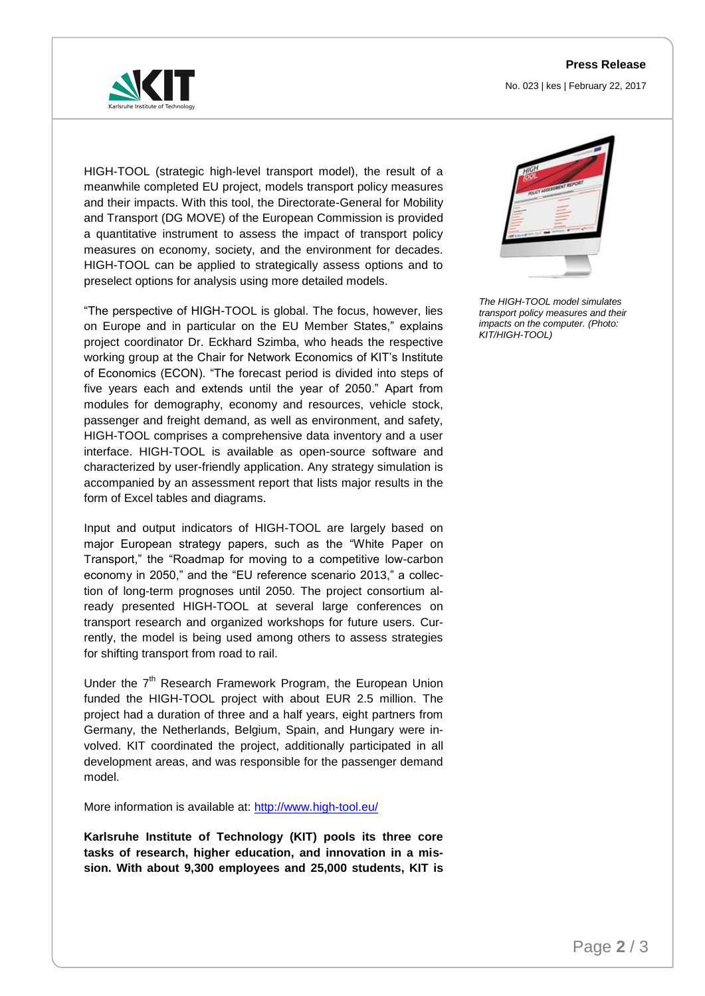#### **Press Release**

No. 023 | kes | February 22, 2017



HIGH-TOOL (strategic high-level transport model), the result of a meanwhile completed EU project, models transport policy measures and their impacts. With this tool, the Directorate-General for Mobility and Transport (DG MOVE) of the European Commission is provided a quantitative instrument to assess the impact of transport policy measures on economy, society, and the environment for decades. HIGH-TOOL can be applied to strategically assess options and to preselect options for analysis using more detailed models.

"The perspective of HIGH-TOOL is global. The focus, however, lies on Europe and in particular on the EU Member States," explains project coordinator Dr. Eckhard Szimba, who heads the respective working group at the Chair for Network Economics of KIT's Institute of Economics (ECON). "The forecast period is divided into steps of five years each and extends until the year of 2050." Apart from modules for demography, economy and resources, vehicle stock, passenger and freight demand, as well as environment, and safety, HIGH-TOOL comprises a comprehensive data inventory and a user interface. HIGH-TOOL is available as open-source software and characterized by user-friendly application. Any strategy simulation is accompanied by an assessment report that lists major results in the form of Excel tables and diagrams.

Input and output indicators of HIGH-TOOL are largely based on major European strategy papers, such as the "White Paper on Transport," the "Roadmap for moving to a competitive low-carbon economy in 2050," and the "EU reference scenario 2013," a collection of long-term prognoses until 2050. The project consortium already presented HIGH-TOOL at several large conferences on transport research and organized workshops for future users. Currently, the model is being used among others to assess strategies for shifting transport from road to rail.

Under the  $7<sup>th</sup>$  Research Framework Program, the European Union funded the HIGH-TOOL project with about EUR 2.5 million. The project had a duration of three and a half years, eight partners from Germany, the Netherlands, Belgium, Spain, and Hungary were involved. KIT coordinated the project, additionally participated in all development areas, and was responsible for the passenger demand model.

More information is available at:<http://www.high-tool.eu/>

**Karlsruhe Institute of Technology (KIT) pools its three core tasks of research, higher education, and innovation in a mission. With about 9,300 employees and 25,000 students, KIT is** 



*The HIGH-TOOL model simulates transport policy measures and their impacts on the computer. (Photo: KIT/HIGH-TOOL)*